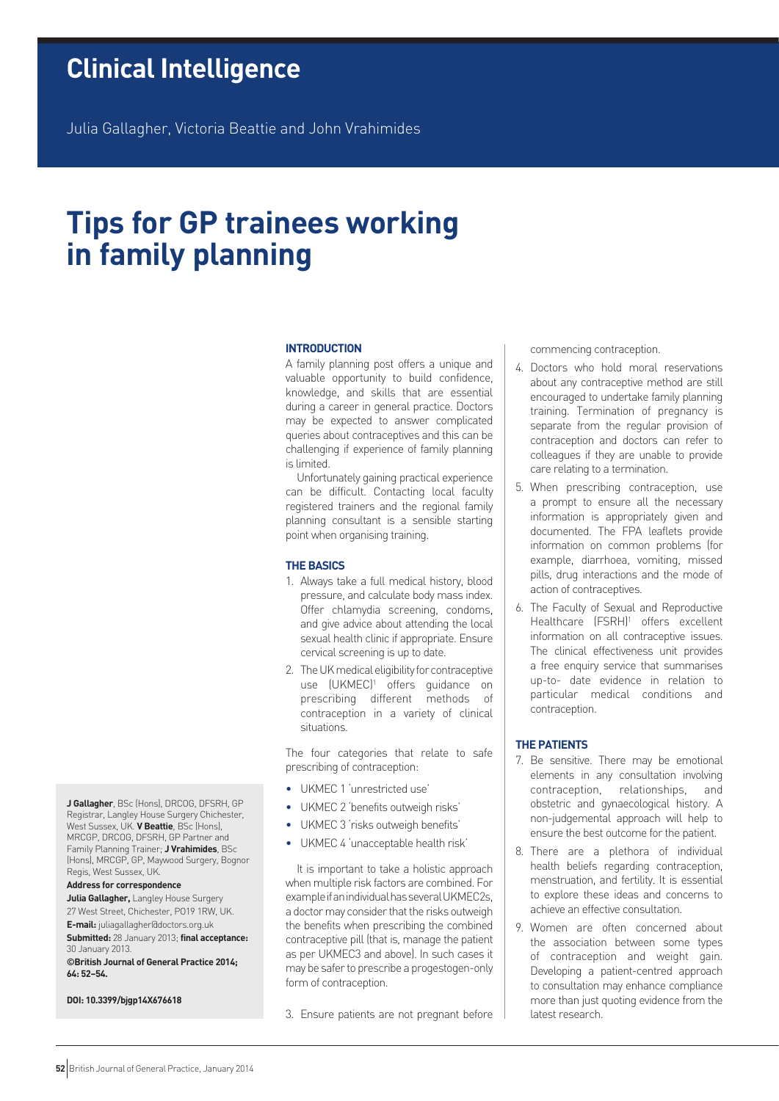## **Clinical Intelligence**

Julia Gallagher, Victoria Beattie and John Vrahimides

# **Tips for GP trainees working in family planning**

#### **introduction**

A family planning post offers a unique and valuable opportunity to build confidence, knowledge, and skills that are essential during a career in general practice. Doctors may be expected to answer complicated queries about contraceptives and this can be challenging if experience of family planning is limited.

Unfortunately gaining practical experience can be difficult. Contacting local faculty registered trainers and the regional family planning consultant is a sensible starting point when organising training.

#### **The Basics**

- 1. Always take a full medical history, blood pressure, and calculate body mass index. Offer chlamydia screening, condoms, and give advice about attending the local sexual health clinic if appropriate. Ensure cervical screening is up to date.
- 2. The UK medical eligibility for contraceptive use (UKMEC)<sup>1</sup> offers guidance on prescribing different methods of contraception in a variety of clinical situations.

The four categories that relate to safe prescribing of contraception:

- UKMEC 1 'unrestricted use'
- UKMEC 2 'benefits outweigh risks'
- UKMEC 3 'risks outweigh benefits'
- UKMEC 4 'unacceptable health risk'

It is important to take a holistic approach when multiple risk factors are combined. For example if an individual has several UKMEC2s, a doctor may consider that the risks outweigh the benefits when prescribing the combined contraceptive pill (that is, manage the patient as per UKMEC3 and above). In such cases it may be safer to prescribe a progestogen-only form of contraception.

3. Ensure patients are not pregnant before

commencing contraception.

- 4. Doctors who hold moral reservations about any contraceptive method are still encouraged to undertake family planning training. Termination of pregnancy is separate from the regular provision of contraception and doctors can refer to colleagues if they are unable to provide care relating to a termination.
- 5. When prescribing contraception, use a prompt to ensure all the necessary information is appropriately given and documented. The FPA leaflets provide information on common problems (for example, diarrhoea, vomiting, missed pills, drug interactions and the mode of action of contraceptives.
- 6. The Faculty of Sexual and Reproductive Healthcare (FSRH)<sup>1</sup> offers excellent information on all contraceptive issues. The clinical effectiveness unit provides a free enquiry service that summarises up-to- date evidence in relation to particular medical conditions and contraception.

#### **The Patients**

- 7. Be sensitive. There may be emotional elements in any consultation involving contraception, relationships, and obstetric and gynaecological history. A non-judgemental approach will help to ensure the best outcome for the patient.
- 8. There are a plethora of individual health beliefs regarding contraception, menstruation, and fertility. It is essential to explore these ideas and concerns to achieve an effective consultation.
- 9. Women are often concerned about the association between some types of contraception and weight gain. Developing a patient-centred approach to consultation may enhance compliance more than just quoting evidence from the latest research.

**J Gallagher**, BSc (Hons), DRCOG, DFSRH, GP Registrar, Langley House Surgery Chichester, West Sussex, UK. **V Beattie**, BSc (Hons), MRCGP, DRCOG, DFSRH, GP Partner and Family Planning Trainer; **J Vrahimides**, BSc (Hons), MRCGP, GP, Maywood Surgery, Bognor Regis, West Sussex, UK.

## **Address for correspondence**

**Julia Gallagher,** Langley House Surgery 27 West Street, Chichester, PO19 1RW, UK.

**E-mail:** juliagallagher@doctors.org.uk **Submitted:** 28 January 2013; **final acceptance:** 

30 January 2013. **©British Journal of General Practice 2014; 64: 52–54.**

## **DOI: 10.3399/bjgp14X676618**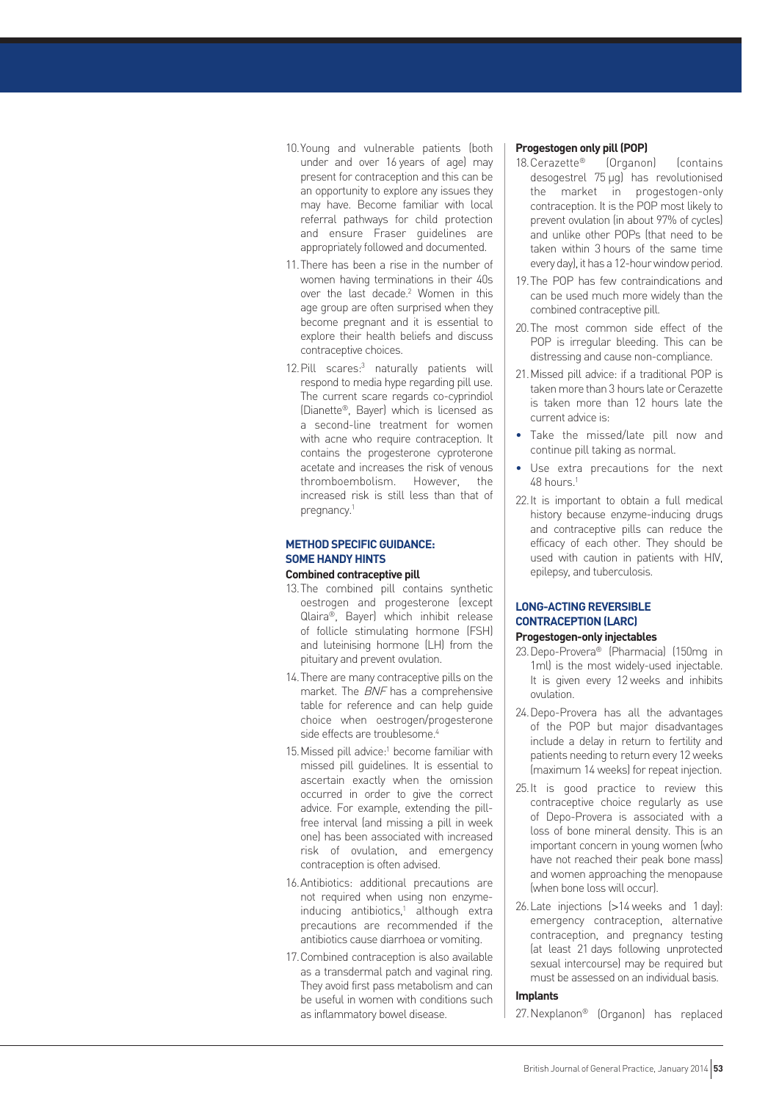- 10.Young and vulnerable patients (both under and over 16 years of age) may present for contraception and this can be an opportunity to explore any issues they may have. Become familiar with local referral pathways for child protection and ensure Fraser guidelines are appropriately followed and documented.
- 11.There has been a rise in the number of women having terminations in their 40s over the last decade.<sup>2</sup> Women in this age group are often surprised when they become pregnant and it is essential to explore their health beliefs and discuss contraceptive choices.
- 12. Pill scares:<sup>3</sup> naturally patients will respond to media hype regarding pill use. The current scare regards co-cyprindiol (Dianette®, Bayer) which is licensed as a second-line treatment for women with acne who require contraception. It contains the progesterone cyproterone acetate and increases the risk of venous thromboembolism. However, the increased risk is still less than that of pregnancy.1

## **Method Specific Guidance: Some Handy Hints**

## **Combined contraceptive pill**

- 13.The combined pill contains synthetic oestrogen and progesterone (except Qlaira®, Bayer) which inhibit release of follicle stimulating hormone (FSH) and luteinising hormone (LH) from the pituitary and prevent ovulation.
- 14.There are many contraceptive pills on the market. The BNF has a comprehensive table for reference and can help guide choice when oestrogen/progesterone side effects are troublesome.<sup>4</sup>
- 15. Missed pill advice:<sup>1</sup> become familiar with missed pill guidelines. It is essential to ascertain exactly when the omission occurred in order to give the correct advice. For example, extending the pillfree interval (and missing a pill in week one) has been associated with increased risk of ovulation, and emergency contraception is often advised.
- 16.Antibiotics: additional precautions are not required when using non enzymeinducing antibiotics,<sup>1</sup> although extra precautions are recommended if the antibiotics cause diarrhoea or vomiting.
- 17.Combined contraception is also available as a transdermal patch and vaginal ring. They avoid first pass metabolism and can be useful in women with conditions such as inflammatory bowel disease.

## **Progestogen only pill (POP)**

- 18.Cerazette® (Organon) (contains desogestrel 75 µg) has revolutionised the market in progestogen-only contraception. It is the POP most likely to prevent ovulation (in about 97% of cycles) and unlike other POPs (that need to be taken within 3 hours of the same time every day), it has a 12-hour window period.
- 19.The POP has few contraindications and can be used much more widely than the combined contraceptive pill.
- 20.The most common side effect of the POP is irregular bleeding. This can be distressing and cause non-compliance.
- 21.Missed pill advice: if a traditional POP is taken more than 3 hours late or Cerazette is taken more than 12 hours late the current advice is:
- Take the missed/late pill now and continue pill taking as normal.
- Use extra precautions for the next 48 hours.1
- 22.It is important to obtain a full medical history because enzyme-inducing drugs and contraceptive pills can reduce the efficacy of each other. They should be used with caution in patients with HIV, epilepsy, and tuberculosis.

## **LONG-ACTING REVERSIBLE Contraception (LARC)**

## **Progestogen-only injectables**

- 23.Depo-Provera® (Pharmacia) (150mg in 1ml) is the most widely-used injectable. It is given every 12 weeks and inhibits ovulation.
- 24.Depo-Provera has all the advantages of the POP but major disadvantages include a delay in return to fertility and patients needing to return every 12 weeks (maximum 14 weeks) for repeat injection.
- 25.It is good practice to review this contraceptive choice regularly as use of Depo-Provera is associated with a loss of bone mineral density. This is an important concern in young women (who have not reached their peak bone mass) and women approaching the menopause (when bone loss will occur).
- 26.Late injections (>14 weeks and 1 day): emergency contraception, alternative contraception, and pregnancy testing (at least 21 days following unprotected sexual intercourse) may be required but must be assessed on an individual basis.

## **Implants**

27.Nexplanon® (Organon) has replaced